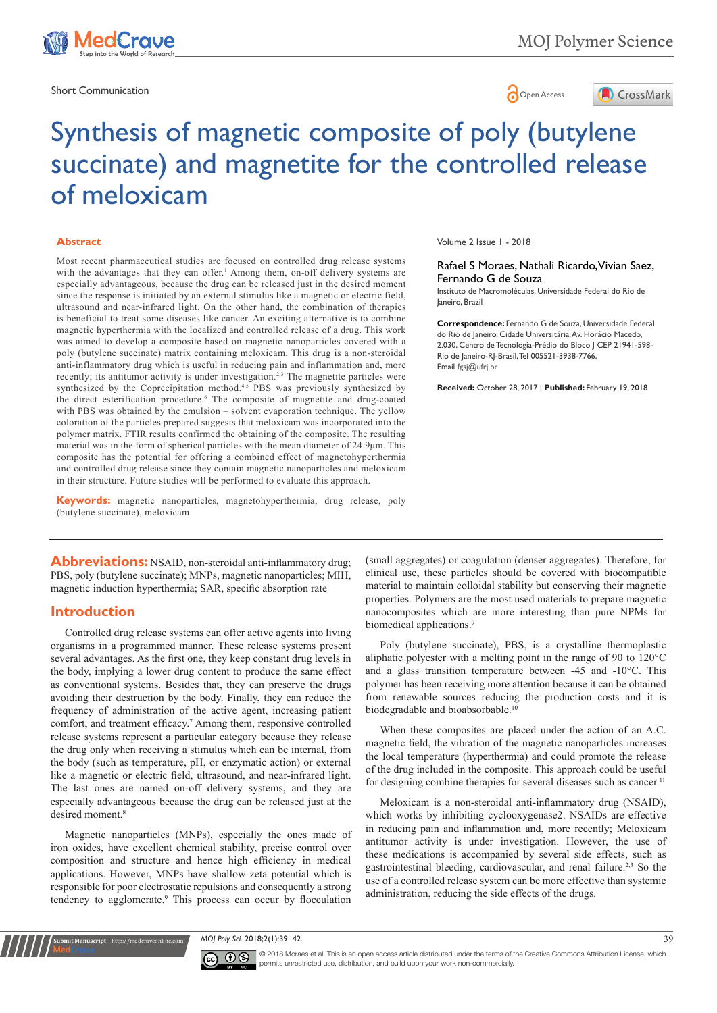

Short Communication and the state of the state of the state of the Spen Access of the Spen Access of the Spen Access of the Spen Access of the Spen Access of the Spen Access of the Spen Access of the Spen Access of the Spe



# Synthesis of magnetic composite of poly (butylene succinate) and magnetite for the controlled release of meloxicam

#### **Abstract**

Most recent pharmaceutical studies are focused on controlled drug release systems with the advantages that they can offer.<sup>1</sup> Among them, on-off delivery systems are especially advantageous, because the drug can be released just in the desired moment since the response is initiated by an external stimulus like a magnetic or electric field, ultrasound and near-infrared light. On the other hand, the combination of therapies is beneficial to treat some diseases like cancer. An exciting alternative is to combine magnetic hyperthermia with the localized and controlled release of a drug. This work was aimed to develop a composite based on magnetic nanoparticles covered with a poly (butylene succinate) matrix containing meloxicam. This drug is a non-steroidal anti-inflammatory drug which is useful in reducing pain and inflammation and, more recently; its antitumor activity is under investigation.<sup>2,3</sup> The magnetite particles were synthesized by the Coprecipitation method.<sup>4,5</sup> PBS was previously synthesized by the direct esterification procedure.<sup>6</sup> The composite of magnetite and drug-coated with PBS was obtained by the emulsion – solvent evaporation technique. The yellow coloration of the particles prepared suggests that meloxicam was incorporated into the polymer matrix. FTIR results confirmed the obtaining of the composite. The resulting material was in the form of spherical particles with the mean diameter of  $24.9\mu$ m. This composite has the potential for offering a combined effect of magnetohyperthermia and controlled drug release since they contain magnetic nanoparticles and meloxicam in their structure. Future studies will be performed to evaluate this approach.

**Keywords:** magnetic nanoparticles, magnetohyperthermia, drug release, poly (butylene succinate), meloxicam

**Abbreviations:** NSAID, non-steroidal anti-inflammatory drug; PBS, poly (butylene succinate); MNPs, magnetic nanoparticles; MIH, magnetic induction hyperthermia; SAR, specific absorption rate

#### **Introduction**

Controlled drug release systems can offer active agents into living organisms in a programmed manner. These release systems present several advantages. As the first one, they keep constant drug levels in the body, implying a lower drug content to produce the same effect as conventional systems. Besides that, they can preserve the drugs avoiding their destruction by the body. Finally, they can reduce the frequency of administration of the active agent, increasing patient comfort, and treatment efficacy.<sup>7</sup> Among them, responsive controlled release systems represent a particular category because they release the drug only when receiving a stimulus which can be internal, from the body (such as temperature, pH, or enzymatic action) or external like a magnetic or electric field, ultrasound, and near-infrared light. The last ones are named on-off delivery systems, and they are especially advantageous because the drug can be released just at the desired moment.<sup>8</sup>

Magnetic nanoparticles (MNPs), especially the ones made of iron oxides, have excellent chemical stability, precise control over composition and structure and hence high efficiency in medical applications. However, MNPs have shallow zeta potential which is responsible for poor electrostatic repulsions and consequently a strong tendency to agglomerate.<sup>9</sup> This process can occur by flocculation

**Kubmit Manuscript** | http://medcraveonline.c

Volume 2 Issue 1 - 2018

Rafael S Moraes, Nathali Ricardo, Vivian Saez, Fernando G de Souza

Instituto de Macromoléculas, Universidade Federal do Rio de Janeiro, Brazil

**Correspondence:** Fernando G de Souza, Universidade Federal do Rio de Janeiro, Cidade Universitária, Av. Horácio Macedo, 2.030, Centro de Tecnologia-Prédio do Bloco J CEP 21941-598- Rio de Janeiro-RJ-Brasil, Tel 005521-3938-7766, Email fgsj@ufrj.br

**Received:** October 28, 2017 | **Published:** February 19, 2018

(small aggregates) or coagulation (denser aggregates). Therefore, for clinical use, these particles should be covered with biocompatible material to maintain colloidal stability but conserving their magnetic properties. Polymers are the most used materials to prepare magnetic nanocomposites which are more interesting than pure NPMs for biomedical applications.<sup>9</sup>

Poly (butylene succinate), PBS, is a crystalline thermoplastic aliphatic polyester with a melting point in the range of 90 to 120°C and a glass transition temperature between -45 and -10°C. This polymer has been receiving more attention because it can be obtained from renewable sources reducing the production costs and it is biodegradable and bioabsorbable.<sup>1</sup>

When these composites are placed under the action of an A.C. magnetic field, the vibration of the magnetic nanoparticles increases the local temperature (hyperthermia) and could promote the release of the drug included in the composite. This approach could be useful for designing combine therapies for several diseases such as cancer.<sup>11</sup>

Meloxicam is a non-steroidal anti-inflammatory drug (NSAID), which works by inhibiting cyclooxygenase2. NSAIDs are effective in reducing pain and inflammation and, more recently; Meloxicam antitumor activity is under investigation. However, the use of these medications is accompanied by several side effects, such as gastrointestinal bleeding, cardiovascular, and renal failure.2,3 So the use of a controlled release system can be more effective than systemic administration, reducing the side effects of the drugs.

*MOJ Poly Sci.* 2018;2(1):39‒42. 39



© 2018 Moraes et al. This is an open access article distributed under the terms of the [Creative Commons Attribution License,](https://creativecommons.org/licenses/by-nc/4.0/) which permits unrestricted use, distribution, and build upon your work non-commercially.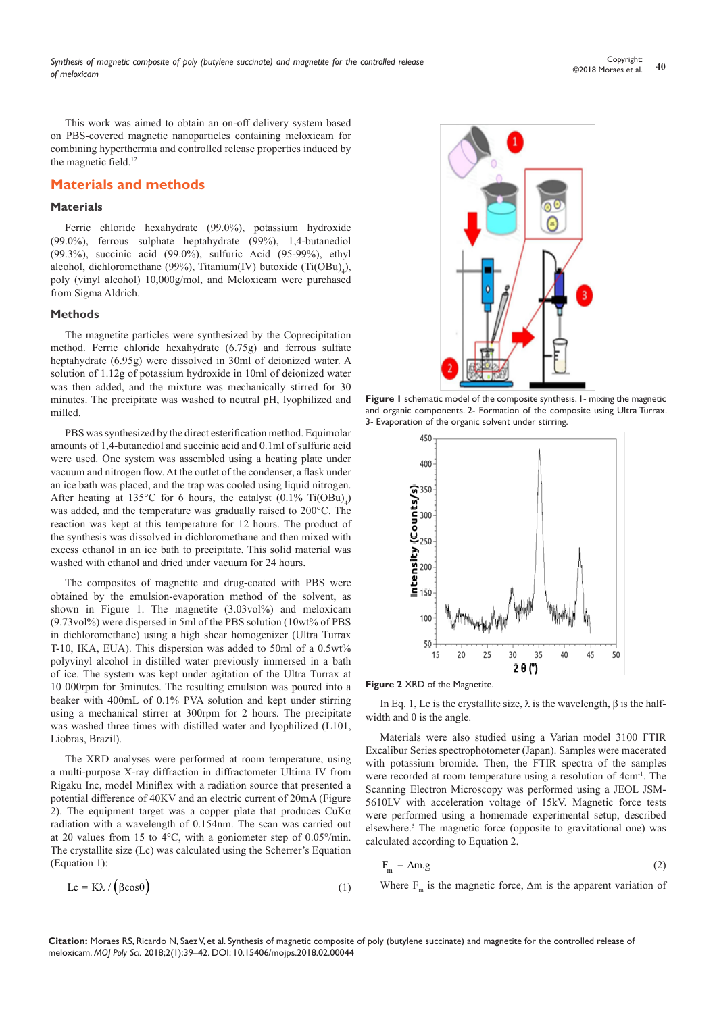This work was aimed to obtain an on-off delivery system based on PBS-covered magnetic nanoparticles containing meloxicam for combining hyperthermia and controlled release properties induced by the magnetic field.12

### **Materials and methods**

### **Materials**

Ferric chloride hexahydrate (99.0%), potassium hydroxide (99.0%), ferrous sulphate heptahydrate (99%), 1,4-butanediol (99.3%), succinic acid (99.0%), sulfuric Acid (95-99%), ethyl alcohol, dichloromethane (99%), Titanium(IV) butoxide  $(Ti(OBu)_{4})$ , poly (vinyl alcohol) 10,000g/mol, and Meloxicam were purchased from Sigma Aldrich.

#### **Methods**

The magnetite particles were synthesized by the Coprecipitation method. Ferric chloride hexahydrate (6.75g) and ferrous sulfate heptahydrate (6.95g) were dissolved in 30ml of deionized water. A solution of 1.12g of potassium hydroxide in 10ml of deionized water was then added, and the mixture was mechanically stirred for 30 minutes. The precipitate was washed to neutral pH, lyophilized and milled.

PBS was synthesized by the direct esterification method. Equimolar amounts of 1,4-butanediol and succinic acid and 0.1ml of sulfuric acid were used. One system was assembled using a heating plate under vacuum and nitrogen flow. At the outlet of the condenser, a flask under an ice bath was placed, and the trap was cooled using liquid nitrogen. After heating at 135°C for 6 hours, the catalyst  $(0.1\% \text{ Ti}(\text{OBu})_4)$ was added, and the temperature was gradually raised to 200°C. The reaction was kept at this temperature for 12 hours. The product of the synthesis was dissolved in dichloromethane and then mixed with excess ethanol in an ice bath to precipitate. This solid material was washed with ethanol and dried under vacuum for 24 hours.

The composites of magnetite and drug-coated with PBS were obtained by the emulsion-evaporation method of the solvent, as shown in Figure 1. The magnetite (3.03vol%) and meloxicam (9.73vol%) were dispersed in 5ml of the PBS solution (10wt% of PBS in dichloromethane) using a high shear homogenizer (Ultra Turrax T-10, IKA, EUA). This dispersion was added to 50ml of a 0.5wt% polyvinyl alcohol in distilled water previously immersed in a bath of ice. The system was kept under agitation of the Ultra Turrax at 10 000rpm for 3minutes. The resulting emulsion was poured into a beaker with 400mL of 0.1% PVA solution and kept under stirring using a mechanical stirrer at 300rpm for 2 hours. The precipitate was washed three times with distilled water and lyophilized (L101, Liobras, Brazil).

The XRD analyses were performed at room temperature, using a multi-purpose X-ray diffraction in diffractometer Ultima IV from Rigaku Inc, model Miniflex with a radiation source that presented a potential difference of 40KV and an electric current of 20mA (Figure 2). The equipment target was a copper plate that produces  $CuKa$ radiation with a wavelength of 0.154nm. The scan was carried out at 2θ values from 15 to 4°C, with a goniometer step of 0.05°/min. The crystallite size (Lc) was calculated using the Scherrer's Equation (Equation 1):





**Figure 1** schematic model of the composite synthesis. 1- mixing the magnetic and organic components. 2- Formation of the composite using Ultra Turrax. 3- Evaporation of the organic solvent under stirring.





In Eq. 1, Lc is the crystallite size,  $λ$  is the wavelength,  $β$  is the halfwidth and  $\theta$  is the angle.

Materials were also studied using a Varian model 3100 FTIR Excalibur Series spectrophotometer (Japan). Samples were macerated with potassium bromide. Then, the FTIR spectra of the samples were recorded at room temperature using a resolution of 4cm-1. The Scanning Electron Microscopy was performed using a JEOL JSM-5610LV with acceleration voltage of 15kV. Magnetic force tests were performed using a homemade experimental setup, described elsewhere.<sup>5</sup> The magnetic force (opposite to gravitational one) was calculated according to Equation 2.

$$
F_m = \Delta m.g
$$
 (2)

Where  $F_m$  is the magnetic force,  $\Delta m$  is the apparent variation of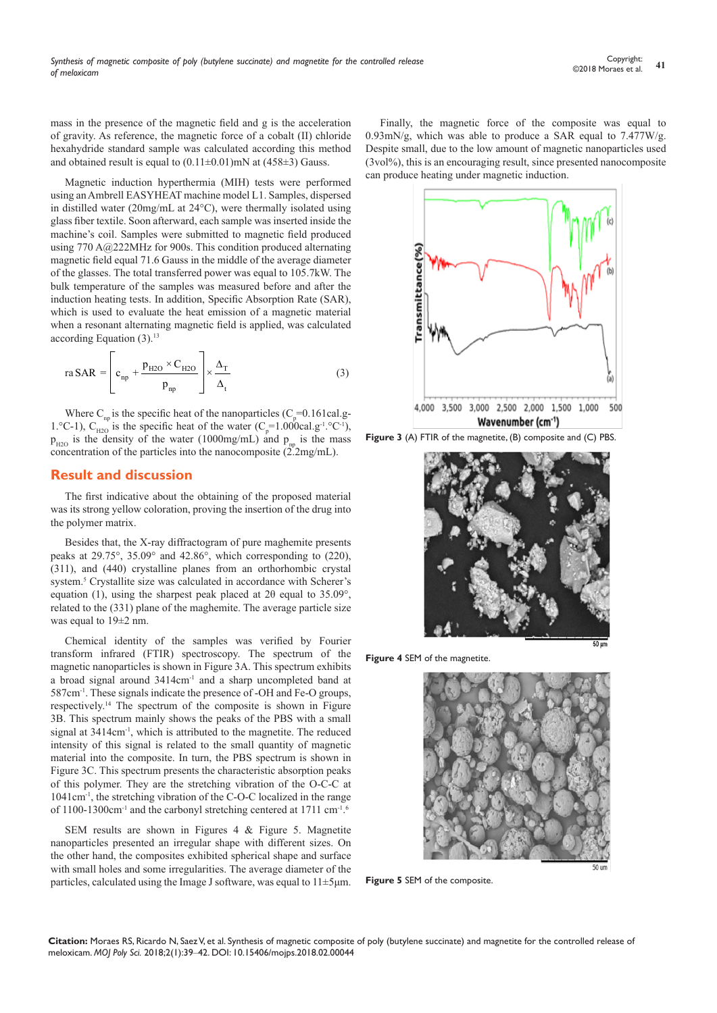mass in the presence of the magnetic field and g is the acceleration of gravity. As reference, the magnetic force of a cobalt (II) chloride hexahydride standard sample was calculated according this method and obtained result is equal to  $(0.11\pm0.01)$  mN at  $(458\pm3)$  Gauss.

Magnetic induction hyperthermia (MIH) tests were performed using an Ambrell EASYHEAT machine model L1. Samples, dispersed in distilled water (20mg/mL at 24°C), were thermally isolated using glass fiber textile. Soon afterward, each sample was inserted inside the machine's coil. Samples were submitted to magnetic field produced using 770 A@222MHz for 900s. This condition produced alternating magnetic field equal 71.6 Gauss in the middle of the average diameter of the glasses. The total transferred power was equal to 105.7kW. The bulk temperature of the samples was measured before and after the induction heating tests. In addition, Specific Absorption Rate (SAR), which is used to evaluate the heat emission of a magnetic material when a resonant alternating magnetic field is applied, was calculated according Equation  $(3)$ .<sup>13</sup>

ra SAR = 
$$
\left[ c_{np} + \frac{p_{H2O} \times C_{H2O}}{p_{np}} \right] \times \frac{\Delta_{T}}{\Delta_{t}}
$$
 (3)

Where C<sub>np</sub> is the specific heat of the nanoparticles (C<sub>p</sub>=0.161cal.g-1. °C-1),  $C_{H2O}$  is the specific heat of the water ( $C_p$ =1.000cal.g<sup>-1</sup>. °C<sup>-1</sup>),  $p_{H2O}$  is the density of the water (1000mg/mL) and  $p_{np}$  is the mass concentration of the particles into the nanocomposite  $(2.2mg/mL)$ .

#### **Result and discussion**

The first indicative about the obtaining of the proposed material was its strong yellow coloration, proving the insertion of the drug into the polymer matrix.

Besides that, the X-ray diffractogram of pure maghemite presents peaks at 29.75°, 35.09° and 42.86°, which corresponding to (220), (311), and (440) crystalline planes from an orthorhombic crystal system.<sup>5</sup> Crystallite size was calculated in accordance with Scherer's equation (1), using the sharpest peak placed at 2θ equal to 35.09°, related to the (331) plane of the maghemite. The average particle size was equal to 19±2 nm.

Chemical identity of the samples was verified by Fourier transform infrared (FTIR) spectroscopy. The spectrum of the magnetic nanoparticles is shown in Figure 3A. This spectrum exhibits a broad signal around 3414cm-1 and a sharp uncompleted band at 587cm-1. These signals indicate the presence of -OH and Fe-O groups, respectively.14 The spectrum of the composite is shown in Figure 3B. This spectrum mainly shows the peaks of the PBS with a small signal at  $3414 \text{cm}^{-1}$ , which is attributed to the magnetite. The reduced intensity of this signal is related to the small quantity of magnetic material into the composite. In turn, the PBS spectrum is shown in Figure 3C. This spectrum presents the characteristic absorption peaks of this polymer. They are the stretching vibration of the O-C-C at 1041cm-1, the stretching vibration of the C-O-C localized in the range of 1100-1300cm<sup>-1</sup> and the carbonyl stretching centered at 1711 cm<sup>-1.6</sup>

SEM results are shown in Figures 4 & Figure 5. Magnetite nanoparticles presented an irregular shape with different sizes. On the other hand, the composites exhibited spherical shape and surface with small holes and some irregularities. The average diameter of the particles, calculated using the Image J software, was equal to 11±5μm.

Finally, the magnetic force of the composite was equal to 0.93mN/g, which was able to produce a SAR equal to 7.477W/g. Despite small, due to the low amount of magnetic nanoparticles used  $(3\text{vol}\%)$ , this is an encouraging result, since presented nanocomposite can produce heating under magnetic induction.



**Figure 3** (A) FTIR of the magnetite, (B) composite and (C) PBS.



**Figure 4** SEM of the magnetite.



**Figure 5** SEM of the composite.

**Citation:** Moraes RS, Ricardo N, Saez V, et al. Synthesis of magnetic composite of poly (butylene succinate) and magnetite for the controlled release of meloxicam. *MOJ Poly Sci.* 2018;2(1):39‒42. DOI: [10.15406/mojps.2018.02.00044](https://doi.org/10.15406/mojps.2018.02.00044)